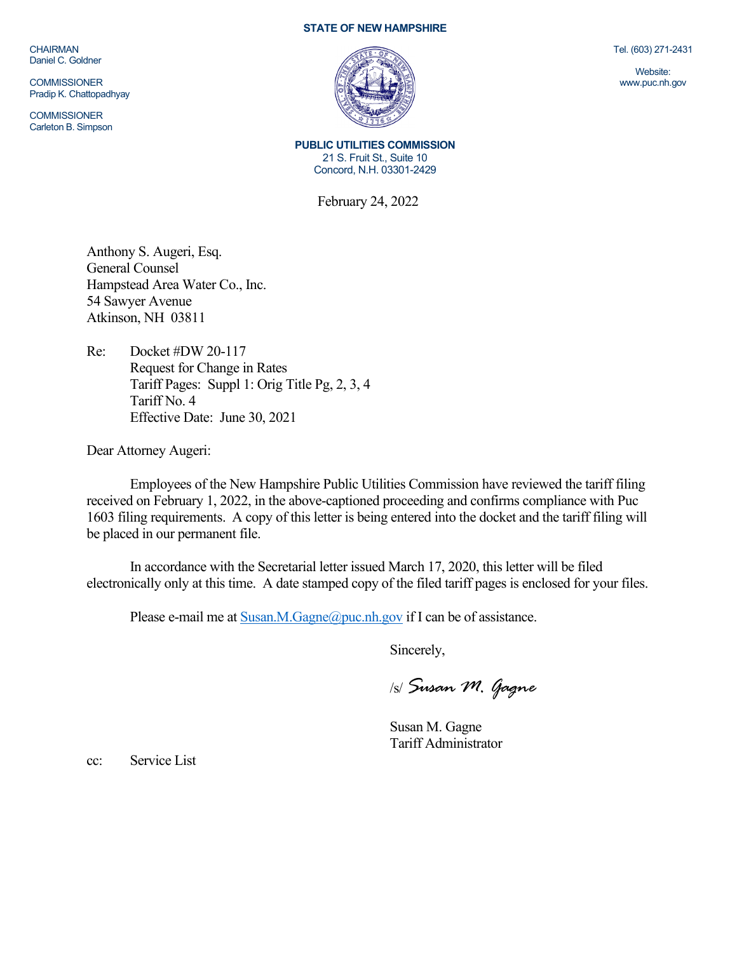CHAIRMAN Daniel C. Goldner

**COMMISSIONER** Pradip K. Chattopadhyay

**COMMISSIONER** Carleton B. Simpson

## **STATE OF NEW HAMPSHIRE**



Tel. (603) 271-2431

Website: www.puc.nh.gov

**PUBLIC UTILITIES COMMISSION** 21 S. Fruit St., Suite 10 Concord, N.H. 03301-2429

February 24, 2022

Anthony S. Augeri, Esq. General Counsel Hampstead Area Water Co., Inc. 54 Sawyer Avenue Atkinson, NH 03811

Re: Docket #DW 20-117 Request for Change in Rates Tariff Pages: Suppl 1: Orig Title Pg, 2, 3, 4 Tariff No. 4 Effective Date: June 30, 2021

Dear Attorney Augeri:

Employees of the New Hampshire Public Utilities Commission have reviewed the tariff filing received on February 1, 2022, in the above-captioned proceeding and confirms compliance with Puc 1603 filing requirements. A copy of this letter is being entered into the docket and the tariff filing will be placed in our permanent file.

In accordance with the Secretarial letter issued March 17, 2020, this letter will be filed electronically only at this time. A date stamped copy of the filed tariff pages is enclosed for your files.

Please e-mail me a[t Susan.M.Gagne@puc.nh.gov](mailto:Susan.M.Gagne@puc.nh.gov) if I can be of assistance.

Sincerely,

/s/ *Susan M. Gagne*

Susan M. Gagne Tariff Administrator

cc: Service List